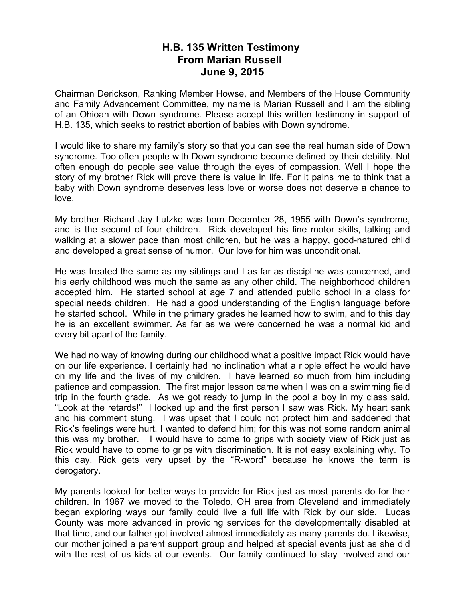## **H.B. 135 Written Testimony From Marian Russell June 9, 2015**

Chairman Derickson, Ranking Member Howse, and Members of the House Community and Family Advancement Committee, my name is Marian Russell and I am the sibling of an Ohioan with Down syndrome. Please accept this written testimony in support of H.B. 135, which seeks to restrict abortion of babies with Down syndrome.

I would like to share my family's story so that you can see the real human side of Down syndrome. Too often people with Down syndrome become defined by their debility. Not often enough do people see value through the eyes of compassion. Well I hope the story of my brother Rick will prove there is value in life. For it pains me to think that a baby with Down syndrome deserves less love or worse does not deserve a chance to love.

My brother Richard Jay Lutzke was born December 28, 1955 with Down's syndrome, and is the second of four children. Rick developed his fine motor skills, talking and walking at a slower pace than most children, but he was a happy, good-natured child and developed a great sense of humor. Our love for him was unconditional.

He was treated the same as my siblings and I as far as discipline was concerned, and his early childhood was much the same as any other child. The neighborhood children accepted him. He started school at age 7 and attended public school in a class for special needs children. He had a good understanding of the English language before he started school. While in the primary grades he learned how to swim, and to this day he is an excellent swimmer. As far as we were concerned he was a normal kid and every bit apart of the family.

We had no way of knowing during our childhood what a positive impact Rick would have on our life experience. I certainly had no inclination what a ripple effect he would have on my life and the lives of my children. I have learned so much from him including patience and compassion. The first major lesson came when I was on a swimming field trip in the fourth grade. As we got ready to jump in the pool a boy in my class said, "Look at the retards!" I looked up and the first person I saw was Rick. My heart sank and his comment stung. I was upset that I could not protect him and saddened that Rick's feelings were hurt. I wanted to defend him; for this was not some random animal this was my brother. I would have to come to grips with society view of Rick just as Rick would have to come to grips with discrimination. It is not easy explaining why. To this day, Rick gets very upset by the "R-word" because he knows the term is derogatory.

My parents looked for better ways to provide for Rick just as most parents do for their children. In 1967 we moved to the Toledo, OH area from Cleveland and immediately began exploring ways our family could live a full life with Rick by our side. Lucas County was more advanced in providing services for the developmentally disabled at that time, and our father got involved almost immediately as many parents do. Likewise, our mother joined a parent support group and helped at special events just as she did with the rest of us kids at our events. Our family continued to stay involved and our